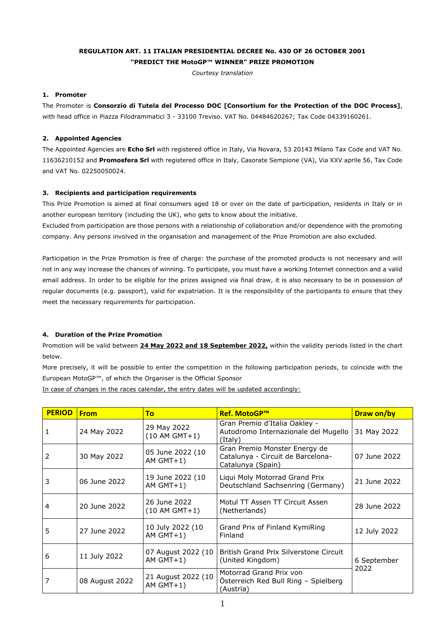# **REGULATION ART. 11 ITALIAN PRESIDENTIAL DECREE No. 430 OF 26 OCTOBER 2001 "PREDICT THE MotoGP™ WINNER" PRIZE PROMOTION**

*Courtesy translation*

# **1. Promoter**

The Promoter is **Consorzio di Tutela del Processo DOC [Consortium for the Protection of the DOC Process]**, with head office in Piazza Filodrammatici 3 - 33100 Treviso. VAT No. 04484620267; Tax Code 04339160261.

# **2. Appointed Agencies**

The Appointed Agencies are **Echo Srl** with registered office in Italy, Via Novara, 53 20143 Milano Tax Code and VAT No. 11636210152 and **Promosfera Srl** with registered office in Italy, Casorate Sempione (VA), Via XXV aprile 56, Tax Code and VAT No. 02250050024.

# **3. Recipients and participation requirements**

This Prize Promotion is aimed at final consumers aged 18 or over on the date of participation, residents in Italy or in another european territory (including the UK), who gets to know about the initiative.

Excluded from participation are those persons with a relationship of collaboration and/or dependence with the promoting company. Any persons involved in the organisation and management of the Prize Promotion are also excluded.

Participation in the Prize Promotion is free of charge: the purchase of the promoted products is not necessary and will not in any way increase the chances of winning. To participate, you must have a working Internet connection and a valid email address. In order to be eligible for the prizes assigned via final draw, it is also necessary to be in possession of regular documents (e.g. passport), valid for expatriation. It is the responsibility of the participants to ensure that they meet the necessary requirements for participation.

# **4. Duration of the Prize Promotion**

Promotion will be valid between **24 May 2022 and 18 September 2022,** within the validity periods listed in the chart below.

More precisely, it will be possible to enter the competition in the following participation periods, to coincide with the European MotoGP™, of which the Organiser is the Official Sponsor

In case of changes in the races calendar, the entry dates will be updated accordingly:

| <b>PERIOD</b> | <b>From</b>    | To                                 | <b>Ref. MotoGP™</b>                                                                     | Draw on/by   |
|---------------|----------------|------------------------------------|-----------------------------------------------------------------------------------------|--------------|
| 1             | 24 May 2022    | 29 May 2022<br>(10 AM GMT+1)       | Gran Premio d'Italia Oakley -<br>Autodromo Internazionale del Mugello<br>(Italy)        | 31 May 2022  |
| 2             | 30 May 2022    | 05 June 2022 (10<br>AM $GMT+1$ )   | Gran Premio Monster Energy de<br>Catalunya - Circuit de Barcelona-<br>Catalunya (Spain) | 07 June 2022 |
| 3             | 06 June 2022   | 19 June 2022 (10<br>AM $GMT+1$ )   | Liqui Moly Motorrad Grand Prix<br>Deutschland Sachsenring (Germany)                     | 21 June 2022 |
| 4             | 20 June 2022   | 26 June 2022<br>$(10 AM GMT+1)$    | Motul TT Assen TT Circuit Assen<br>(Netherlands)                                        | 28 June 2022 |
| 5             | 27 June 2022   | 10 July 2022 (10<br>AM $GMT+1$ )   | Grand Prix of Finland KymiRing<br>Finland                                               | 12 July 2022 |
| 6             | 11 July 2022   | 07 August 2022 (10<br>AM $GMT+1$ ) | British Grand Prix Silverstone Circuit<br>(United Kingdom)<br>6 September               |              |
| 7             | 08 August 2022 | 21 August 2022 (10<br>AM $GMT+1$ ) | Motorrad Grand Prix von<br>Österreich Red Bull Ring - Spielberg<br>(Austria)            | 2022         |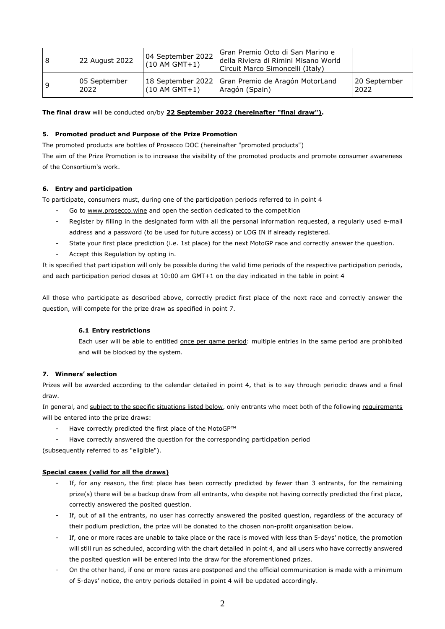| <b>8</b> | 22 August 2022       | 04 September 2022<br>$(10 AM GMT+1)$ | l Gran Premio Octo di San Marino e<br>della Riviera di Rimini Misano World<br>Circuit Marco Simoncelli (Italy) |                      |
|----------|----------------------|--------------------------------------|----------------------------------------------------------------------------------------------------------------|----------------------|
| و ا      | 05 September<br>2022 | $(10 AM GMT+1)$                      | 18 September 2022   Gran Premio de Aragón MotorLand<br>Aragón (Spain)                                          | 20 September<br>2022 |

**The final draw** will be conducted on/by **22 September 2022 (hereinafter "final draw").** 

# **5. Promoted product and Purpose of the Prize Promotion**

The promoted products are bottles of Prosecco DOC (hereinafter "promoted products")

The aim of the Prize Promotion is to increase the visibility of the promoted products and promote consumer awareness of the Consortium's work.

## **6. Entry and participation**

To participate, consumers must, during one of the participation periods referred to in point 4

- Go to www.prosecco.wine and open the section dedicated to the competition
- Register by filling in the designated form with all the personal information requested, a regularly used e-mail address and a password (to be used for future access) or LOG IN if already registered.
- State your first place prediction (i.e. 1st place) for the next MotoGP race and correctly answer the question.
- Accept this Regulation by opting in.

It is specified that participation will only be possible during the valid time periods of the respective participation periods, and each participation period closes at 10:00 am GMT+1 on the day indicated in the table in point 4

All those who participate as described above, correctly predict first place of the next race and correctly answer the question, will compete for the prize draw as specified in point 7.

## **6.1 Entry restrictions**

Each user will be able to entitled once per game period: multiple entries in the same period are prohibited and will be blocked by the system.

# **7. Winners' selection**

Prizes will be awarded according to the calendar detailed in point 4, that is to say through periodic draws and a final draw.

In general, and subject to the specific situations listed below, only entrants who meet both of the following requirements will be entered into the prize draws:

- Have correctly predicted the first place of the MotoGP™
- Have correctly answered the question for the corresponding participation period

(subsequently referred to as "eligible").

## **Special cases (valid for all the draws)**

- If, for any reason, the first place has been correctly predicted by fewer than 3 entrants, for the remaining prize(s) there will be a backup draw from all entrants, who despite not having correctly predicted the first place, correctly answered the posited question.
- If, out of all the entrants, no user has correctly answered the posited question, regardless of the accuracy of their podium prediction, the prize will be donated to the chosen non-profit organisation below.
- If, one or more races are unable to take place or the race is moved with less than 5-days' notice, the promotion will still run as scheduled, according with the chart detailed in point 4, and all users who have correctly answered the posited question will be entered into the draw for the aforementioned prizes.
- On the other hand, if one or more races are postponed and the official communication is made with a minimum of 5-days' notice, the entry periods detailed in point 4 will be updated accordingly.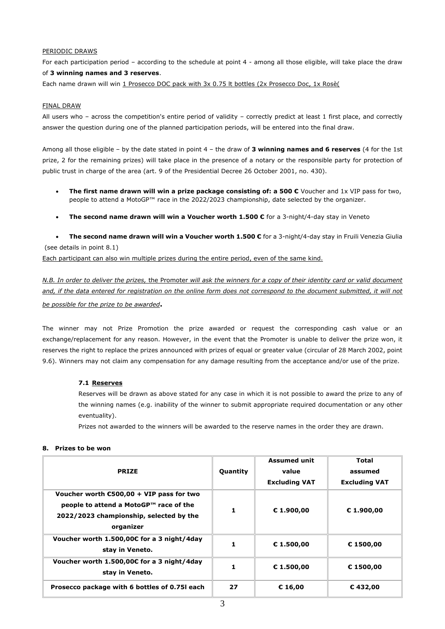## PERIODIC DRAWS

For each participation period – according to the schedule at point 4 - among all those eligible, will take place the draw of **3 winning names and 3 reserves**.

Each name drawn will win 1 Prosecco DOC pack with 3x 0.75 lt bottles (2x Prosecco Doc, 1x Rosè(

### FINAL DRAW

All users who – across the competition's entire period of validity – correctly predict at least 1 first place, and correctly answer the question during one of the planned participation periods, will be entered into the final draw.

Among all those eligible – by the date stated in point 4 – the draw of **3 winning names and 6 reserves** (4 for the 1st prize, 2 for the remaining prizes) will take place in the presence of a notary or the responsible party for protection of public trust in charge of the area (art. 9 of the Presidential Decree 26 October 2001, no. 430).

- **The first name drawn will win a prize package consisting of: a 500 €** Voucher and 1x VIP pass for two, people to attend a MotoGP™ race in the 2022/2023 championship, date selected by the organizer.
- **The second name drawn will win a Voucher worth 1.500 €** for a 3-night/4-day stay in Veneto

• **The second name drawn will win a Voucher worth 1.500 €** for a 3-night/4-day stay in Fruili Venezia Giulia (see details in point 8.1)

Each participant can also win multiple prizes during the entire period, even of the same kind.

*N.B. In order to deliver the prizes,* the Promoter *will ask the winners for a copy of their identity card or valid document*  and, if the data entered for registration on the online form does not correspond to the document submitted, it will not *be possible for the prize to be awarded***.** 

The winner may not Prize Promotion the prize awarded or request the corresponding cash value or an exchange/replacement for any reason. However, in the event that the Promoter is unable to deliver the prize won, it reserves the right to replace the prizes announced with prizes of equal or greater value (circular of 28 March 2002, point 9.6). Winners may not claim any compensation for any damage resulting from the acceptance and/or use of the prize.

## **7.1 Reserves**

Reserves will be drawn as above stated for any case in which it is not possible to award the prize to any of the winning names (e.g. inability of the winner to submit appropriate required documentation or any other eventuality).

Prizes not awarded to the winners will be awarded to the reserve names in the order they are drawn.

## **8. Prizes to be won**

| <b>PRIZE</b>                                                                                                                                         | Quantity | <b>Assumed unit</b><br>value<br><b>Excluding VAT</b> | Total<br>assumed<br><b>Excluding VAT</b> |
|------------------------------------------------------------------------------------------------------------------------------------------------------|----------|------------------------------------------------------|------------------------------------------|
| Voucher worth $\epsilon$ 500,00 + VIP pass for two<br>people to attend a MotoGP™ race of the<br>2022/2023 championship, selected by the<br>organizer |          | € 1.900,00                                           | € 1.900,00                               |
| Voucher worth 1.500,00€ for a 3 night/4day<br>stay in Veneto.                                                                                        |          | € 1.500,00                                           | € 1500,00                                |
| Voucher worth 1.500,00€ for a 3 night/4day<br>stay in Veneto.                                                                                        |          | € 1.500,00                                           | € 1500,00                                |
| Prosecco package with 6 bottles of 0.75 each                                                                                                         | 27       | € 16,00                                              | €432,00                                  |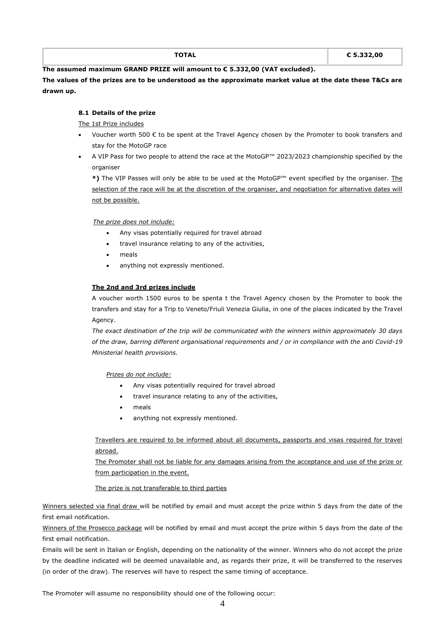| ----- | € 5.332.00 |
|-------|------------|
| ль    | $   -$     |
|       | $-$        |
|       |            |

**The assumed maximum GRAND PRIZE will amount to € 5.332,00 (VAT excluded).**

**The values of the prizes are to be understood as the approximate market value at the date these T&Cs are drawn up.**

# **8.1 Details of the prize**

The 1st Prize includes

- Voucher worth 500  $\epsilon$  to be spent at the Travel Agency chosen by the Promoter to book transfers and stay for the MotoGP race
- A VIP Pass for two people to attend the race at the MotoGP™ 2023/2023 championship specified by the organiser

**\*)** The VIP Passes will only be able to be used at the MotoGP™ event specified by the organiser. The selection of the race will be at the discretion of the organiser, and negotiation for alternative dates will not be possible.

## *The prize does not include:*

- Any visas potentially required for travel abroad
- travel insurance relating to any of the activities,
- meals
- anything not expressly mentioned.

## **The 2nd and 3rd prizes include**

A voucher worth 1500 euros to be spenta t the Travel Agency chosen by the Promoter to book the transfers and stay for a Trip to Veneto/Friuli Venezia Giulia, in one of the places indicated by the Travel Agency.

*The exact destination of the trip will be communicated with the winners within approximately 30 days of the draw, barring different organisational requirements and / or in compliance with the anti Covid-19 Ministerial health provisions.*

*Prizes do not include:*

- Any visas potentially required for travel abroad
- travel insurance relating to any of the activities,
- meals
- anything not expressly mentioned.

Travellers are required to be informed about all documents, passports and visas required for travel abroad.

The Promoter shall not be liable for any damages arising from the acceptance and use of the prize or from participation in the event.

## The prize is not transferable to third parties

Winners selected via final draw will be notified by email and must accept the prize within 5 days from the date of the first email notification.

Winners of the Prosecco package will be notified by email and must accept the prize within 5 days from the date of the first email notification.

Emails will be sent in Italian or English, depending on the nationality of the winner. Winners who do not accept the prize by the deadline indicated will be deemed unavailable and, as regards their prize, it will be transferred to the reserves (in order of the draw). The reserves will have to respect the same timing of acceptance.

The Promoter will assume no responsibility should one of the following occur: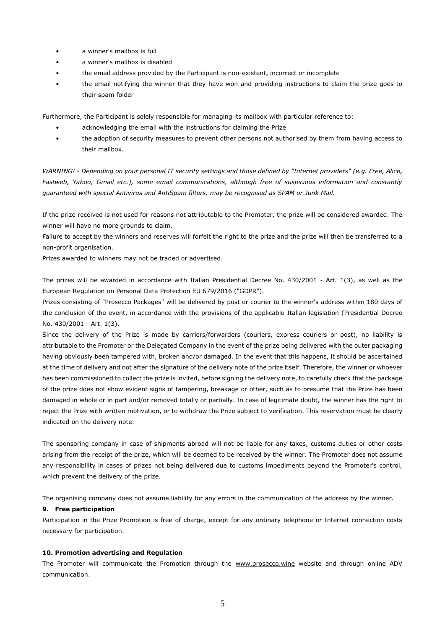- a winner's mailbox is full
- a winner's mailbox is disabled
- the email address provided by the Participant is non-existent, incorrect or incomplete
- the email notifying the winner that they have won and providing instructions to claim the prize goes to their spam folder

Furthermore, the Participant is solely responsible for managing its mailbox with particular reference to:

- acknowledging the email with the instructions for claiming the Prize
- the adoption of security measures to prevent other persons not authorised by them from having access to their mailbox.

*WARNING! - Depending on your personal IT security settings and those defined by "Internet providers" (e.g. Free, Alice, Fastweb, Yahoo, Gmail etc.), some email communications, although free of suspicious information and constantly guaranteed with special Antivirus and AntiSpam filters, may be recognised as SPAM or Junk Mail.* 

If the prize received is not used for reasons not attributable to the Promoter, the prize will be considered awarded. The winner will have no more grounds to claim.

Failure to accept by the winners and reserves will forfeit the right to the prize and the prize will then be transferred to a non-profit organisation.

Prizes awarded to winners may not be traded or advertised.

The prizes will be awarded in accordance with Italian Presidential Decree No. 430/2001 - Art. 1(3), as well as the European Regulation on Personal Data Protection EU 679/2016 ("GDPR").

Prizes consisting of "Prosecco Packages" will be delivered by post or courier to the winner's address within 180 days of the conclusion of the event, in accordance with the provisions of the applicable Italian legislation (Presidential Decree No. 430/2001 - Art. 1(3).

Since the delivery of the Prize is made by carriers/forwarders (couriers, express couriers or post), no liability is attributable to the Promoter or the Delegated Company in the event of the prize being delivered with the outer packaging having obviously been tampered with, broken and/or damaged. In the event that this happens, it should be ascertained at the time of delivery and not after the signature of the delivery note of the prize itself. Therefore, the winner or whoever has been commissioned to collect the prize is invited, before signing the delivery note, to carefully check that the package of the prize does not show evident signs of tampering, breakage or other, such as to presume that the Prize has been damaged in whole or in part and/or removed totally or partially. In case of legitimate doubt, the winner has the right to reject the Prize with written motivation, or to withdraw the Prize subject to verification. This reservation must be clearly indicated on the delivery note.

The sponsoring company in case of shipments abroad will not be liable for any taxes, customs duties or other costs arising from the receipt of the prize, which will be deemed to be received by the winner. The Promoter does not assume any responsibility in cases of prizes not being delivered due to customs impediments beyond the Promoter's control, which prevent the delivery of the prize.

The organising company does not assume liability for any errors in the communication of the address by the winner.

## **9. Free participation**

Participation in the Prize Promotion is free of charge, except for any ordinary telephone or Internet connection costs necessary for participation.

## **10. Promotion advertising and Regulation**

The Promoter will communicate the Promotion through the [www.prosecco.wine](http://www.prosecco.wine/) website and through online ADV communication.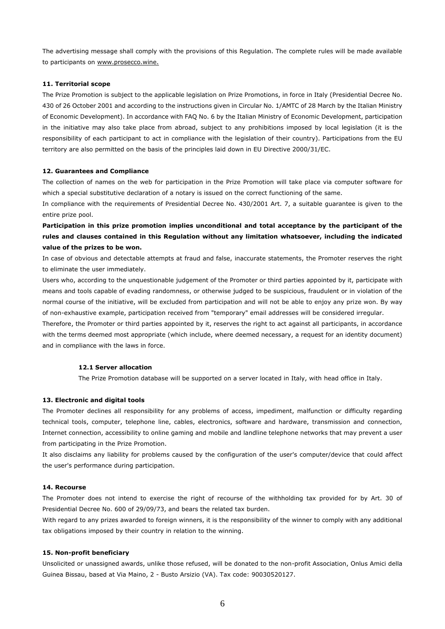The advertising message shall comply with the provisions of this Regulation. The complete rules will be made available to participants on [www.prosecco.wine.](http://www.prosecco.wine/)

### **11. Territorial scope**

The Prize Promotion is subject to the applicable legislation on Prize Promotions, in force in Italy (Presidential Decree No. 430 of 26 October 2001 and according to the instructions given in Circular No. 1/AMTC of 28 March by the Italian Ministry of Economic Development). In accordance with FAQ No. 6 by the Italian Ministry of Economic Development, participation in the initiative may also take place from abroad, subject to any prohibitions imposed by local legislation (it is the responsibility of each participant to act in compliance with the legislation of their country). Participations from the EU territory are also permitted on the basis of the principles laid down in EU Directive 2000/31/EC.

#### **12. Guarantees and Compliance**

The collection of names on the web for participation in the Prize Promotion will take place via computer software for which a special substitutive declaration of a notary is issued on the correct functioning of the same.

In compliance with the requirements of Presidential Decree No. 430/2001 Art. 7, a suitable guarantee is given to the entire prize pool.

**Participation in this prize promotion implies unconditional and total acceptance by the participant of the rules and clauses contained in this Regulation without any limitation whatsoever, including the indicated value of the prizes to be won.**

In case of obvious and detectable attempts at fraud and false, inaccurate statements, the Promoter reserves the right to eliminate the user immediately.

Users who, according to the unquestionable judgement of the Promoter or third parties appointed by it, participate with means and tools capable of evading randomness, or otherwise judged to be suspicious, fraudulent or in violation of the normal course of the initiative, will be excluded from participation and will not be able to enjoy any prize won. By way of non-exhaustive example, participation received from "temporary" email addresses will be considered irregular.

Therefore, the Promoter or third parties appointed by it, reserves the right to act against all participants, in accordance with the terms deemed most appropriate (which include, where deemed necessary, a request for an identity document) and in compliance with the laws in force.

#### **12.1 Server allocation**

The Prize Promotion database will be supported on a server located in Italy, with head office in Italy.

#### **13. Electronic and digital tools**

The Promoter declines all responsibility for any problems of access, impediment, malfunction or difficulty regarding technical tools, computer, telephone line, cables, electronics, software and hardware, transmission and connection, Internet connection, accessibility to online gaming and mobile and landline telephone networks that may prevent a user from participating in the Prize Promotion.

It also disclaims any liability for problems caused by the configuration of the user's computer/device that could affect the user's performance during participation.

## **14. Recourse**

The Promoter does not intend to exercise the right of recourse of the withholding tax provided for by Art. 30 of Presidential Decree No. 600 of 29/09/73, and bears the related tax burden.

With regard to any prizes awarded to foreign winners, it is the responsibility of the winner to comply with any additional tax obligations imposed by their country in relation to the winning.

#### **15. Non-profit beneficiary**

Unsolicited or unassigned awards, unlike those refused, will be donated to the non-profit Association, Onlus Amici della Guinea Bissau, based at Via Maino, 2 - Busto Arsizio (VA). Tax code: 90030520127.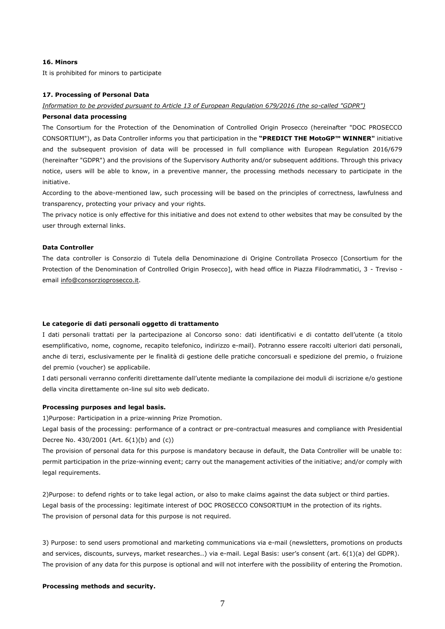### **16. Minors**

It is prohibited for minors to participate

## **17. Processing of Personal Data**

#### *Information to be provided pursuant to Article 13 of European Regulation 679/2016 (the so-called "GDPR")*

### **Personal data processing**

The Consortium for the Protection of the Denomination of Controlled Origin Prosecco (hereinafter "DOC PROSECCO CONSORTIUM"), as Data Controller informs you that participation in the **"PREDICT THE MotoGP™ WINNER"** initiative and the subsequent provision of data will be processed in full compliance with European Regulation 2016/679 (hereinafter "GDPR") and the provisions of the Supervisory Authority and/or subsequent additions. Through this privacy notice, users will be able to know, in a preventive manner, the processing methods necessary to participate in the initiative.

According to the above-mentioned law, such processing will be based on the principles of correctness, lawfulness and transparency, protecting your privacy and your rights.

The privacy notice is only effective for this initiative and does not extend to other websites that may be consulted by the user through external links.

#### **Data Controller**

The data controller is Consorzio di Tutela della Denominazione di Origine Controllata Prosecco [Consortium for the Protection of the Denomination of Controlled Origin Prosecco], with head office in Piazza Filodrammatici, 3 - Treviso email [info@consorzioprosecco.it.](mailto:info@consorzioprosecco.it)

### **Le categorie di dati personali oggetto di trattamento**

I dati personali trattati per la partecipazione al Concorso sono: dati identificativi e di contatto dell'utente (a titolo esemplificativo, nome, cognome, recapito telefonico, indirizzo e-mail). Potranno essere raccolti ulteriori dati personali, anche di terzi, esclusivamente per le finalità di gestione delle pratiche concorsuali e spedizione del premio, o fruizione del premio (voucher) se applicabile.

I dati personali verranno conferiti direttamente dall'utente mediante la compilazione dei moduli di iscrizione e/o gestione della vincita direttamente on-line sul sito web dedicato.

## **Processing purposes and legal basis.**

1)Purpose: Participation in a prize-winning Prize Promotion.

Legal basis of the processing: performance of a contract or pre-contractual measures and compliance with Presidential Decree No. 430/2001 (Art. 6(1)(b) and (c))

The provision of personal data for this purpose is mandatory because in default, the Data Controller will be unable to: permit participation in the prize-winning event; carry out the management activities of the initiative; and/or comply with legal requirements.

2)Purpose: to defend rights or to take legal action, or also to make claims against the data subject or third parties. Legal basis of the processing: legitimate interest of DOC PROSECCO CONSORTIUM in the protection of its rights. The provision of personal data for this purpose is not required.

3) Purpose: to send users promotional and marketing communications via e-mail (newsletters, promotions on products and services, discounts, surveys, market researches..) via e-mail. Legal Basis: user's consent (art. 6(1)(a) del GDPR). The provision of any data for this purpose is optional and will not interfere with the possibility of entering the Promotion.

#### **Processing methods and security.**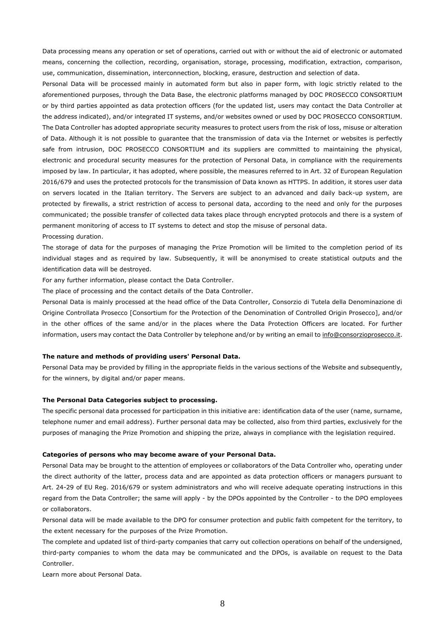Data processing means any operation or set of operations, carried out with or without the aid of electronic or automated means, concerning the collection, recording, organisation, storage, processing, modification, extraction, comparison, use, communication, dissemination, interconnection, blocking, erasure, destruction and selection of data.

Personal Data will be processed mainly in automated form but also in paper form, with logic strictly related to the aforementioned purposes, through the Data Base, the electronic platforms managed by DOC PROSECCO CONSORTIUM or by third parties appointed as data protection officers (for the updated list, users may contact the Data Controller at the address indicated), and/or integrated IT systems, and/or websites owned or used by DOC PROSECCO CONSORTIUM. The Data Controller has adopted appropriate security measures to protect users from the risk of loss, misuse or alteration of Data. Although it is not possible to guarantee that the transmission of data via the Internet or websites is perfectly safe from intrusion, DOC PROSECCO CONSORTIUM and its suppliers are committed to maintaining the physical, electronic and procedural security measures for the protection of Personal Data, in compliance with the requirements imposed by law. In particular, it has adopted, where possible, the measures referred to in Art. 32 of European Regulation 2016/679 and uses the protected protocols for the transmission of Data known as HTTPS. In addition, it stores user data on servers located in the Italian territory. The Servers are subject to an advanced and daily back-up system, are protected by firewalls, a strict restriction of access to personal data, according to the need and only for the purposes communicated; the possible transfer of collected data takes place through encrypted protocols and there is a system of permanent monitoring of access to IT systems to detect and stop the misuse of personal data. Processing duration.

The storage of data for the purposes of managing the Prize Promotion will be limited to the completion period of its individual stages and as required by law. Subsequently, it will be anonymised to create statistical outputs and the identification data will be destroyed.

For any further information, please contact the Data Controller.

The place of processing and the contact details of the Data Controller.

Personal Data is mainly processed at the head office of the Data Controller, Consorzio di Tutela della Denominazione di Origine Controllata Prosecco [Consortium for the Protection of the Denomination of Controlled Origin Prosecco], and/or in the other offices of the same and/or in the places where the Data Protection Officers are located. For further information, users may contact the Data Controller by telephone and/or by writing an email t[o info@consorzioprosecco.it.](mailto:info@consorzioprosecco.it)

### **The nature and methods of providing users' Personal Data.**

Personal Data may be provided by filling in the appropriate fields in the various sections of the Website and subsequently, for the winners, by digital and/or paper means.

#### **The Personal Data Categories subject to processing.**

The specific personal data processed for participation in this initiative are: identification data of the user (name, surname, telephone numer and email address). Further personal data may be collected, also from third parties, exclusively for the purposes of managing the Prize Promotion and shipping the prize, always in compliance with the legislation required.

### **Categories of persons who may become aware of your Personal Data.**

Personal Data may be brought to the attention of employees or collaborators of the Data Controller who, operating under the direct authority of the latter, process data and are appointed as data protection officers or managers pursuant to Art. 24-29 of EU Reg. 2016/679 or system administrators and who will receive adequate operating instructions in this regard from the Data Controller; the same will apply - by the DPOs appointed by the Controller - to the DPO employees or collaborators.

Personal data will be made available to the DPO for consumer protection and public faith competent for the territory, to the extent necessary for the purposes of the Prize Promotion.

The complete and updated list of third-party companies that carry out collection operations on behalf of the undersigned, third-party companies to whom the data may be communicated and the DPOs, is available on request to the Data Controller.

Learn more about Personal Data.